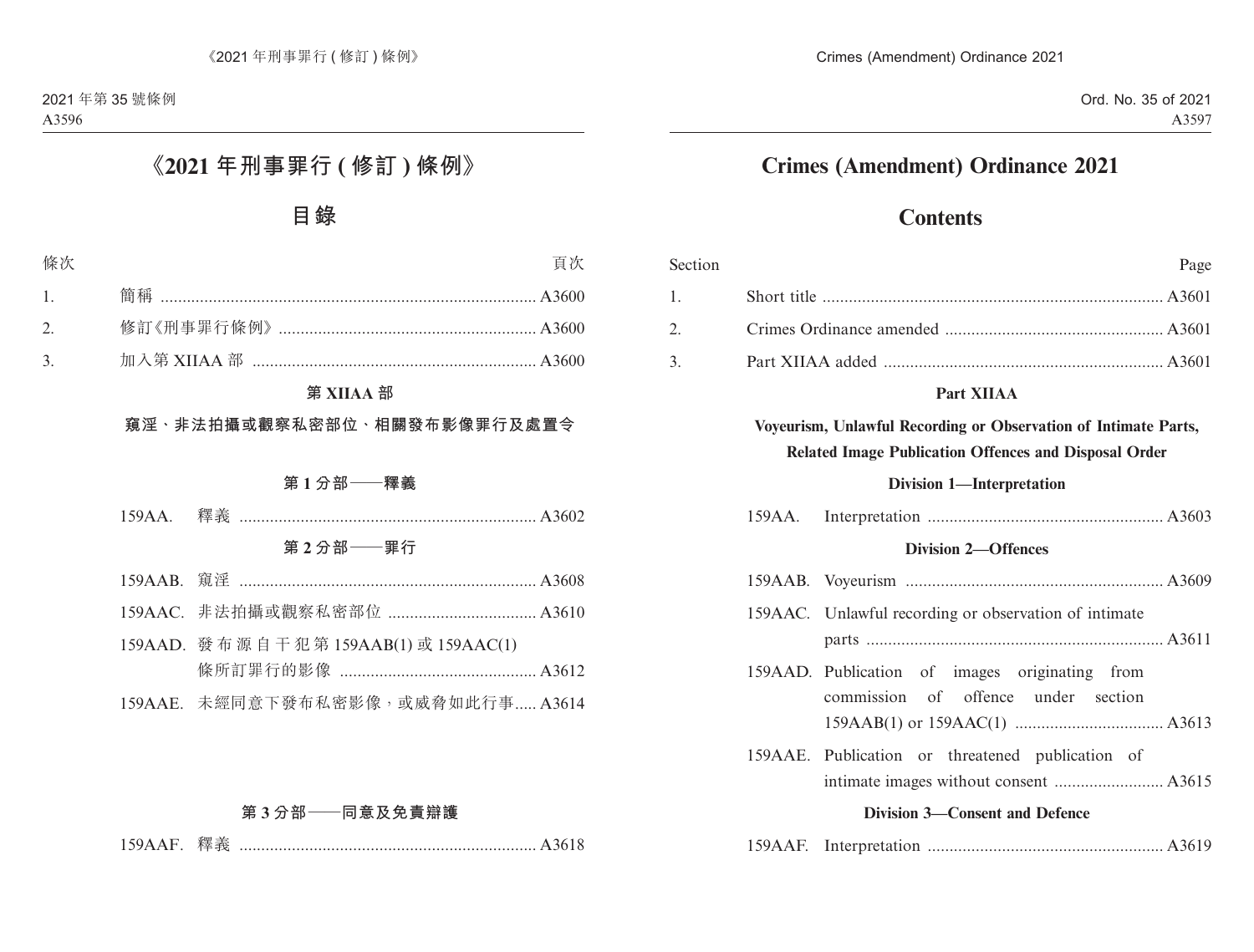# **Crimes (Amendment) Ordinance 2021**

# **Contents**

| Section |                            | Page                                                                                                                            |  |  |  |
|---------|----------------------------|---------------------------------------------------------------------------------------------------------------------------------|--|--|--|
| 1.      |                            |                                                                                                                                 |  |  |  |
| 2.      |                            |                                                                                                                                 |  |  |  |
| 3.      |                            |                                                                                                                                 |  |  |  |
|         |                            | Part XIIAA                                                                                                                      |  |  |  |
|         |                            | Voyeurism, Unlawful Recording or Observation of Intimate Parts,<br><b>Related Image Publication Offences and Disposal Order</b> |  |  |  |
|         |                            | <b>Division 1-Interpretation</b>                                                                                                |  |  |  |
|         | $159AA$ .                  |                                                                                                                                 |  |  |  |
|         | <b>Division 2-Offences</b> |                                                                                                                                 |  |  |  |
|         |                            |                                                                                                                                 |  |  |  |
|         |                            | 159AAC. Unlawful recording or observation of intimate                                                                           |  |  |  |
|         |                            | 159AAD. Publication of images originating from<br>commission of offence under section                                           |  |  |  |
|         |                            | 159AAE. Publication or threatened publication of                                                                                |  |  |  |
|         |                            | <b>Division 3-Consent and Defence</b>                                                                                           |  |  |  |
|         | $159AAF$ .                 |                                                                                                                                 |  |  |  |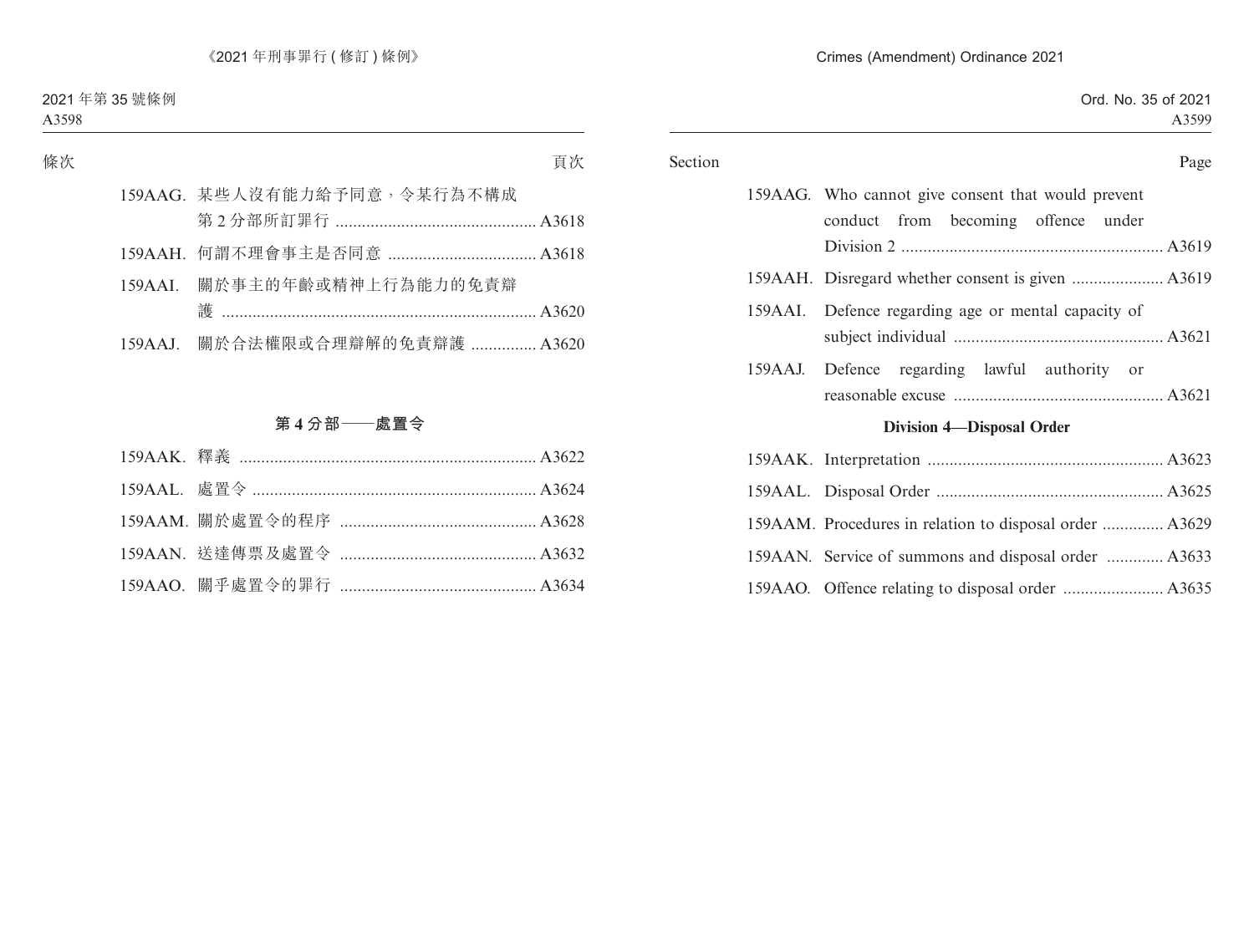| Page                                                    |         | Section |
|---------------------------------------------------------|---------|---------|
| 159AAG. Who cannot give consent that would prevent      |         |         |
| conduct from becoming offence under                     |         |         |
|                                                         |         |         |
|                                                         |         |         |
| Defence regarding age or mental capacity of             | 159AAI. |         |
|                                                         |         |         |
| Defence regarding lawful authority or                   | 159AAJ. |         |
|                                                         |         |         |
| <b>Division 4-Disposal Order</b>                        |         |         |
|                                                         |         |         |
|                                                         |         |         |
| 159AAM. Procedures in relation to disposal order  A3629 |         |         |
| 159AAN. Service of summons and disposal order  A3633    |         |         |
|                                                         |         |         |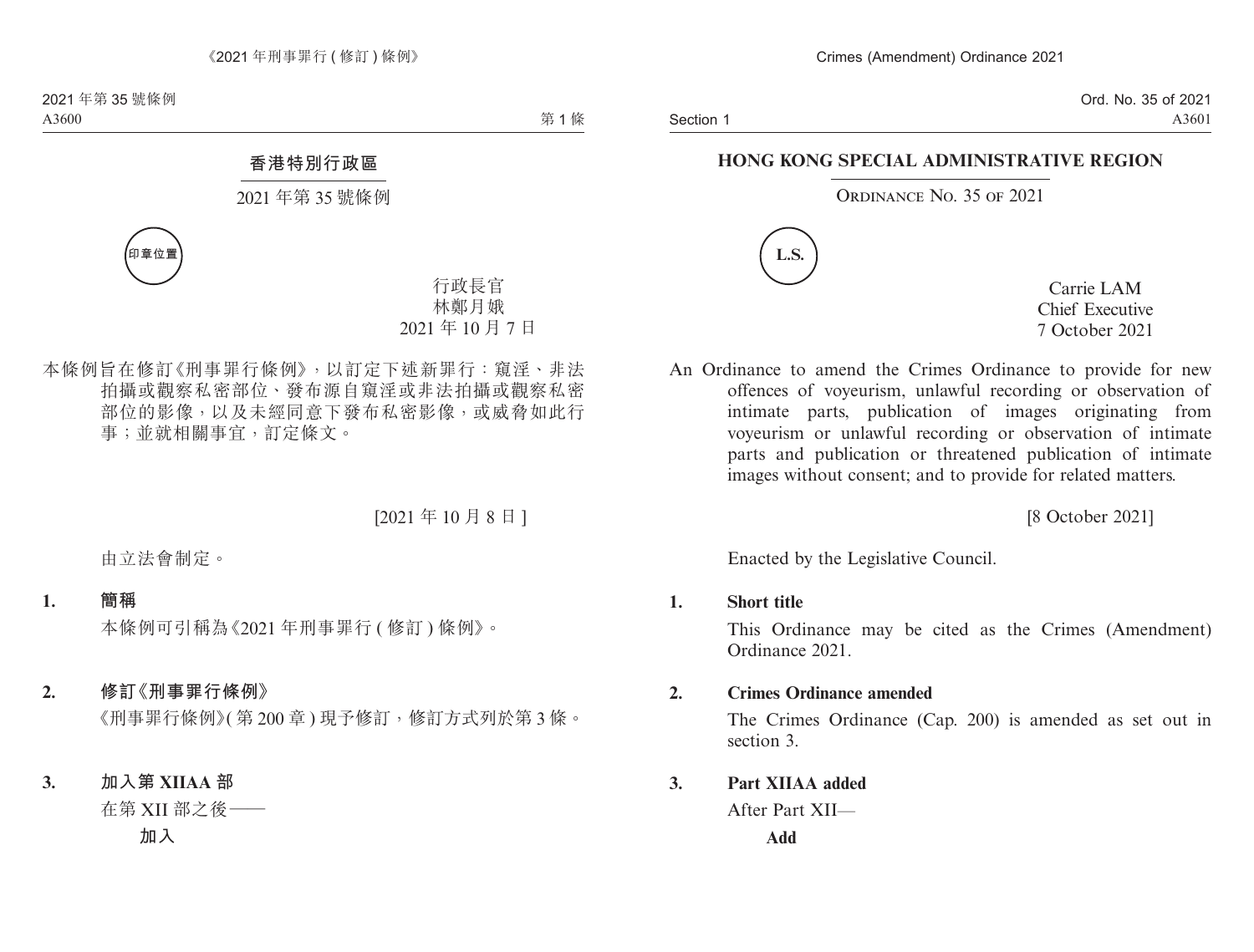## **HONG KONG SPECIAL ADMINISTRATIVE REGION**

## ORDINANCE NO. 35 OF 2021



Carrie LAM Chief Executive 7 October 2021

An Ordinance to amend the Crimes Ordinance to provide for new offences of voyeurism, unlawful recording or observation of intimate parts, publication of images originating from voyeurism or unlawful recording or observation of intimate parts and publication or threatened publication of intimate images without consent; and to provide for related matters.

[8 October 2021]

Enacted by the Legislative Council.

#### **1. Short title**

This Ordinance may be cited as the Crimes (Amendment) Ordinance 2021.

## **2. Crimes Ordinance amended**

The Crimes Ordinance (Cap. 200) is amended as set out in section 3.

## **3. Part XIIAA added**

After Part XII—

**Add**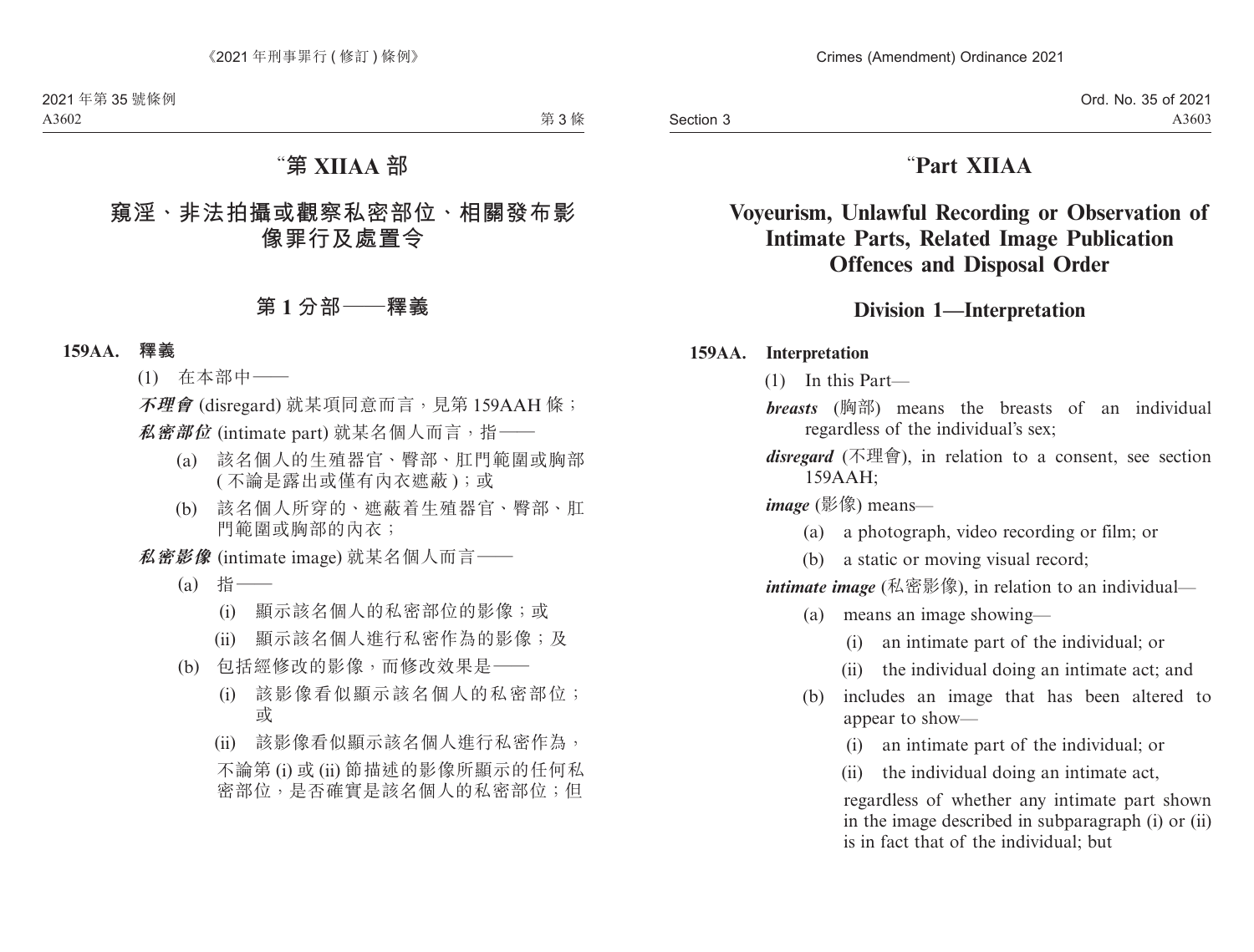# "**Part XIIAA**

# **Voyeurism, Unlawful Recording or Observation of Intimate Parts, Related Image Publication Offences and Disposal Order**

## **Division 1—Interpretation**

## **159AA. Interpretation**

- (1) In this Part—
- *breasts* (胸部) means the breasts of an individual regardless of the individual's sex;

*disregard* (不理會), in relation to a consent, see section 159AAH;

*image* (影像) means—

- (a) a photograph, video recording or film; or
- (b) a static or moving visual record;

*intimate image* (私密影像), in relation to an individual—

- (a) means an image showing—
	- (i) an intimate part of the individual; or
	- (ii) the individual doing an intimate act; and
- (b) includes an image that has been altered to appear to show—
	- (i) an intimate part of the individual; or
	- (ii) the individual doing an intimate act,

regardless of whether any intimate part shown in the image described in subparagraph (i) or (ii) is in fact that of the individual; but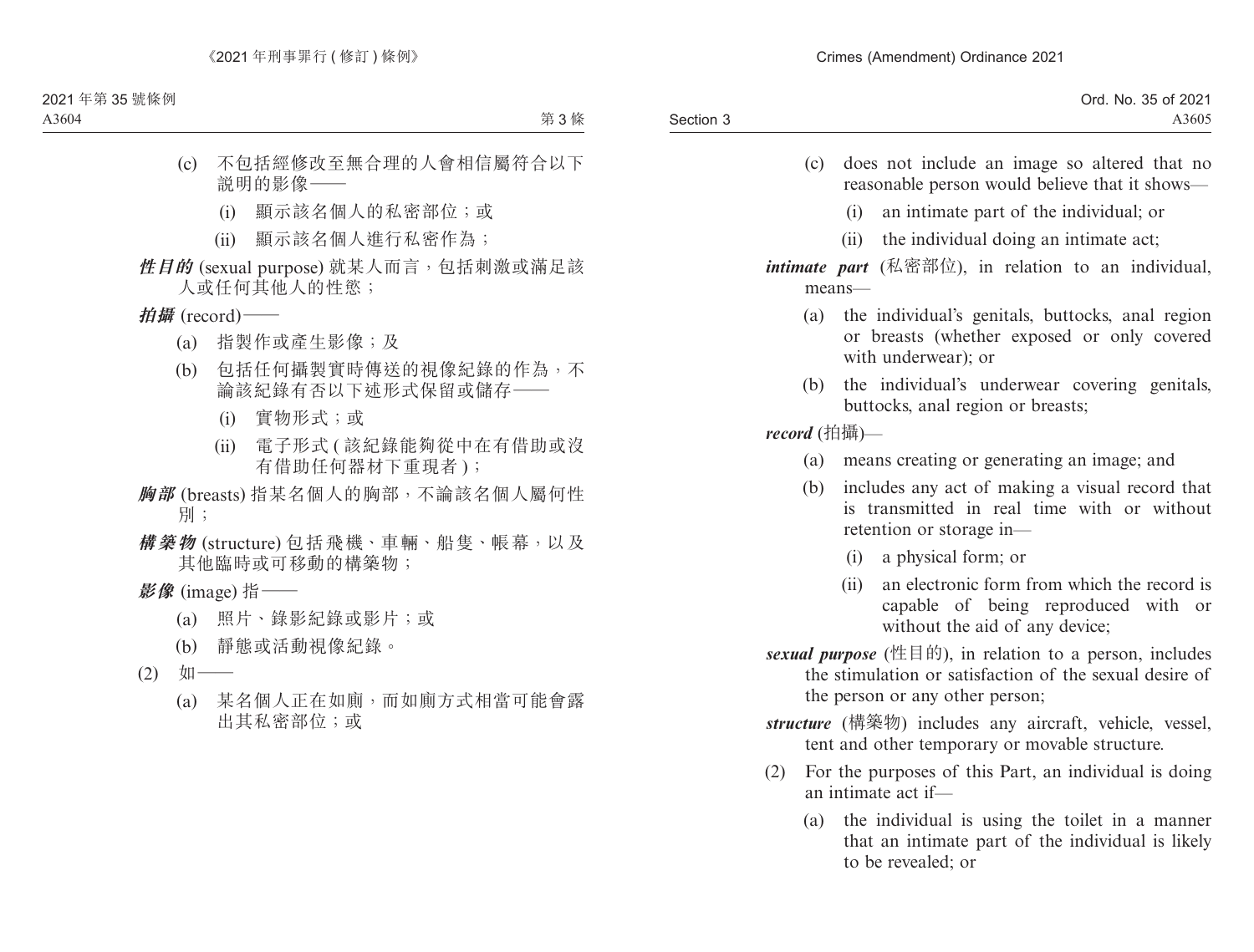| Ord. No. 35 of 2021 |           |
|---------------------|-----------|
| A3605               | Section 3 |
|                     |           |

- (c) does not include an image so altered that no reasonable person would believe that it shows—
	- (i) an intimate part of the individual; or
	- (ii) the individual doing an intimate act;

## *intimate part* (私密部位), in relation to an individual, means—

- (a) the individual's genitals, buttocks, anal region or breasts (whether exposed or only covered with underwear); or
- (b) the individual's underwear covering genitals, buttocks, anal region or breasts;

*record* (拍攝)—

- (a) means creating or generating an image; and
- (b) includes any act of making a visual record that is transmitted in real time with or without retention or storage in—
	- (i) a physical form; or
	- (ii) an electronic form from which the record is capable of being reproduced with or without the aid of any device;
- *sexual purpose* (性目的), in relation to a person, includes the stimulation or satisfaction of the sexual desire of the person or any other person;
- *structure* (構築物) includes any aircraft, vehicle, vessel, tent and other temporary or movable structure.
- (2) For the purposes of this Part, an individual is doing an intimate act if—
	- (a) the individual is using the toilet in a manner that an intimate part of the individual is likely to be revealed; or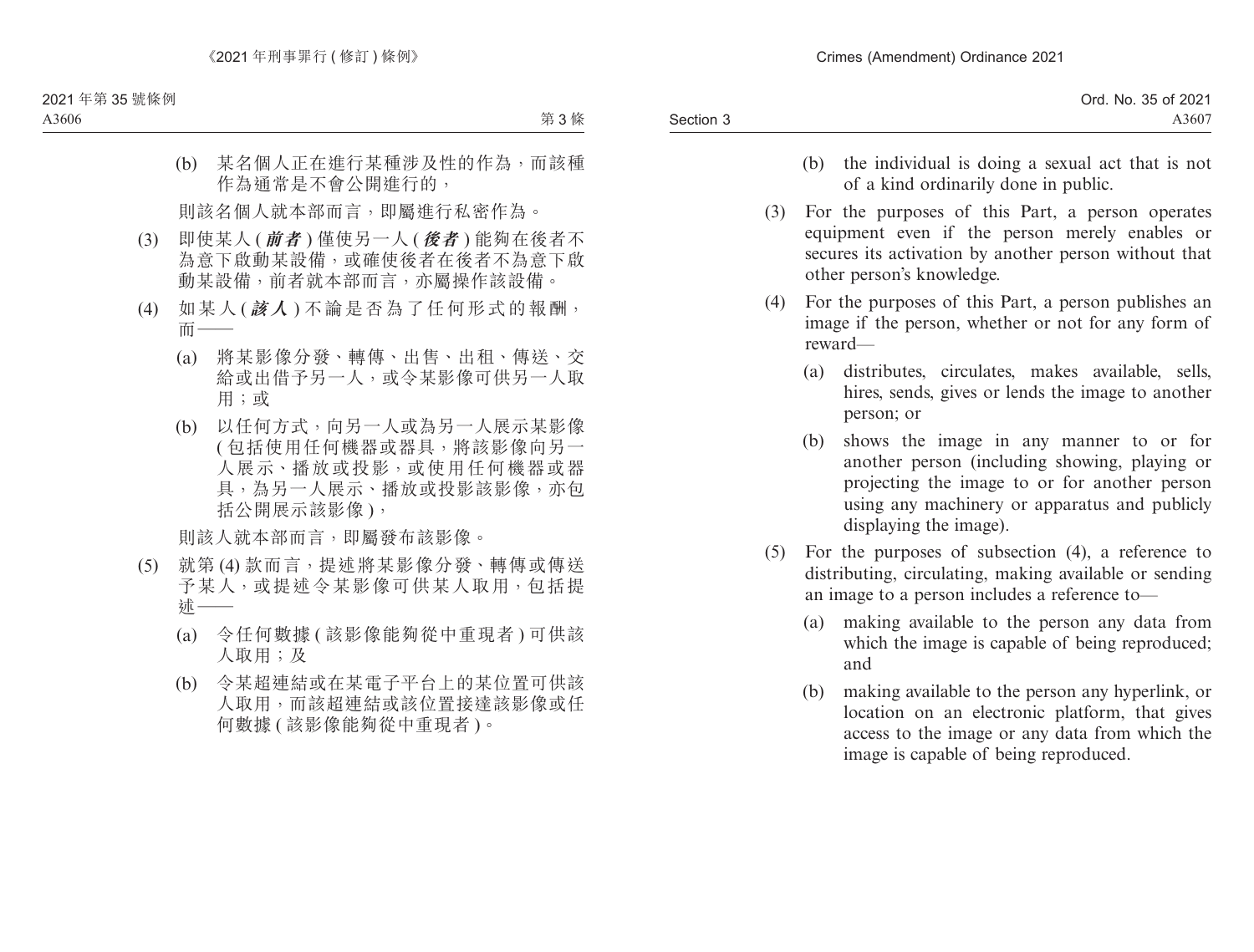- (b) the individual is doing a sexual act that is not of a kind ordinarily done in public.
- (3) For the purposes of this Part, a person operates equipment even if the person merely enables or secures its activation by another person without that other person's knowledge.
- (4) For the purposes of this Part, a person publishes an image if the person, whether or not for any form of reward—
	- (a) distributes, circulates, makes available, sells, hires, sends, gives or lends the image to another person; or
	- (b) shows the image in any manner to or for another person (including showing, playing or projecting the image to or for another person using any machinery or apparatus and publicly displaying the image).
- (5) For the purposes of subsection (4), a reference to distributing, circulating, making available or sending an image to a person includes a reference to—
	- (a) making available to the person any data from which the image is capable of being reproduced; and
	- (b) making available to the person any hyperlink, or location on an electronic platform, that gives access to the image or any data from which the image is capable of being reproduced.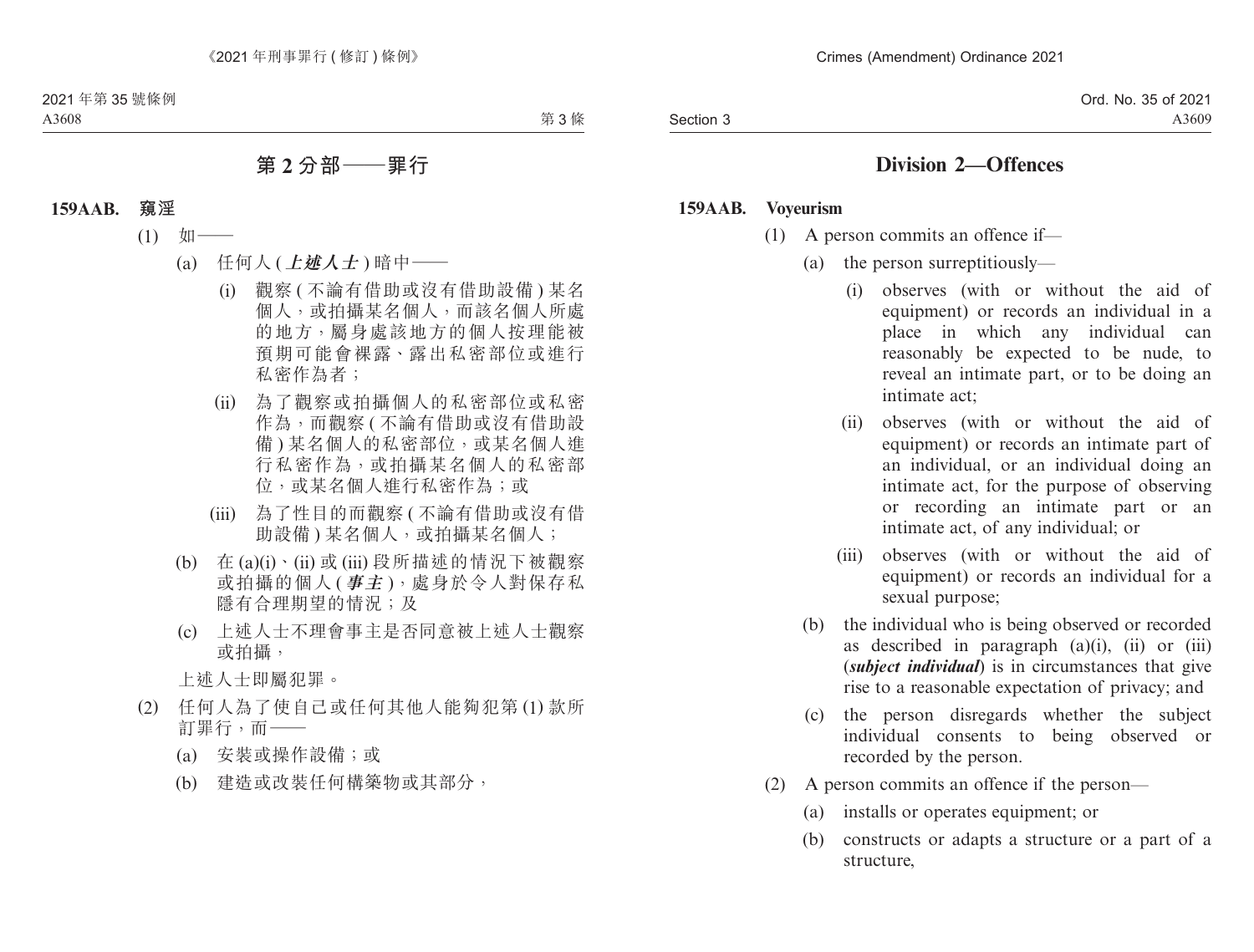## **Division 2—Offences**

#### **159AAB. Voyeurism**

- (1) A person commits an offence if—
	- (a) the person surreptitiously—
		- (i) observes (with or without the aid of equipment) or records an individual in a place in which any individual can reasonably be expected to be nude, to reveal an intimate part, or to be doing an intimate act;
		- (ii) observes (with or without the aid of equipment) or records an intimate part of an individual, or an individual doing an intimate act, for the purpose of observing or recording an intimate part or an intimate act, of any individual; or
		- (iii) observes (with or without the aid of equipment) or records an individual for a sexual purpose;
	- (b) the individual who is being observed or recorded as described in paragraph  $(a)(i)$ ,  $(ii)$  or  $(iii)$ (*subject individual*) is in circumstances that give rise to a reasonable expectation of privacy; and
	- (c) the person disregards whether the subject individual consents to being observed or recorded by the person.
- (2) A person commits an offence if the person—
	- (a) installs or operates equipment; or
	- (b) constructs or adapts a structure or a part of a structure,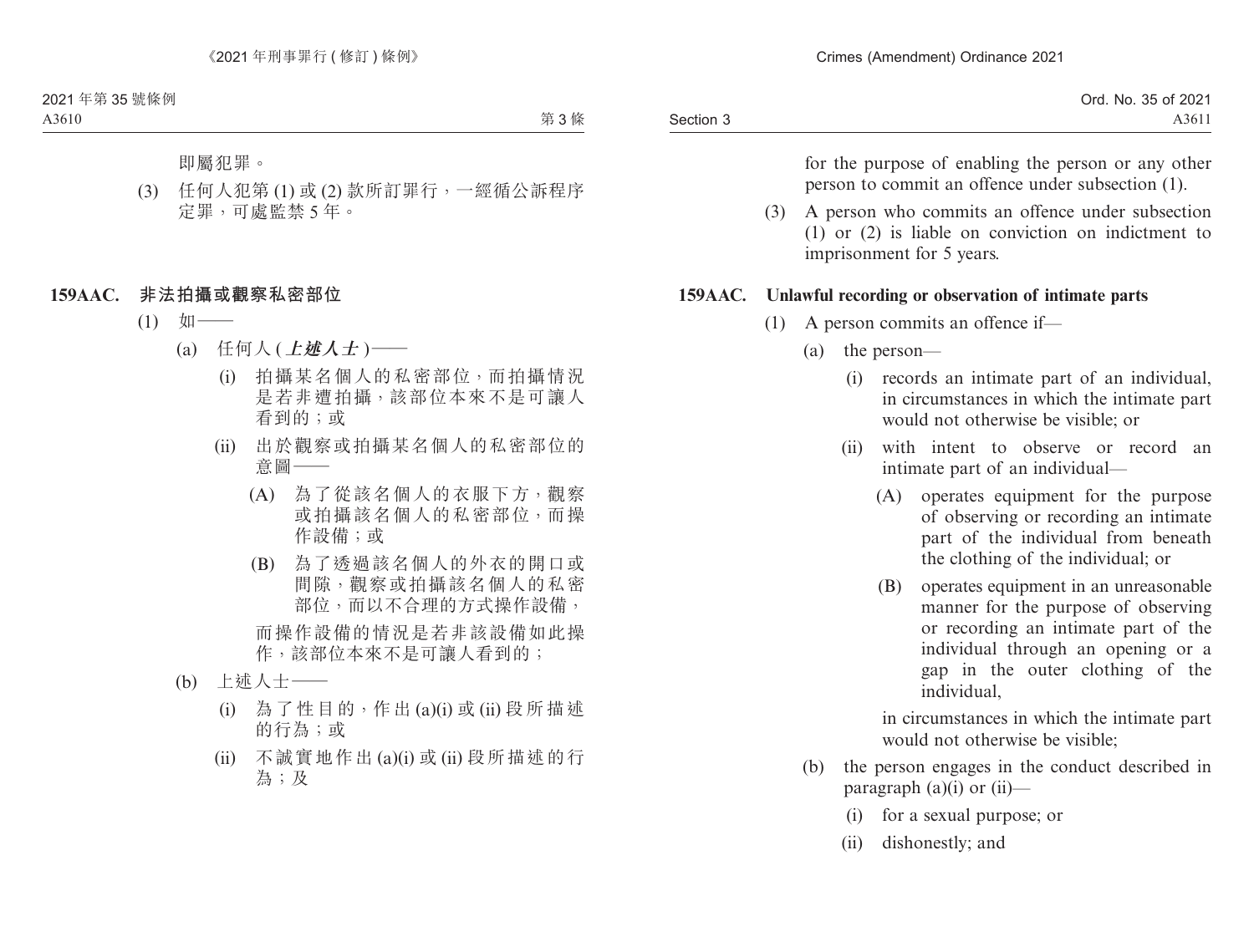|           | Ord. No. 35 of 2021 |
|-----------|---------------------|
| Section 3 | A3611               |

for the purpose of enabling the person or any other person to commit an offence under subsection (1).

(3) A person who commits an offence under subsection (1) or (2) is liable on conviction on indictment to imprisonment for 5 years.

#### **159AAC. Unlawful recording or observation of intimate parts**

- (1) A person commits an offence if—
	- (a) the person—
		- (i) records an intimate part of an individual, in circumstances in which the intimate part would not otherwise be visible; or
		- (ii) with intent to observe or record an intimate part of an individual—
			- (A) operates equipment for the purpose of observing or recording an intimate part of the individual from beneath the clothing of the individual; or
			- (B) operates equipment in an unreasonable manner for the purpose of observing or recording an intimate part of the individual through an opening or a gap in the outer clothing of the individual,

in circumstances in which the intimate part would not otherwise be visible;

- (b) the person engages in the conduct described in paragraph  $(a)(i)$  or  $(ii)$ —
	- (i) for a sexual purpose; or
	- (ii) dishonestly; and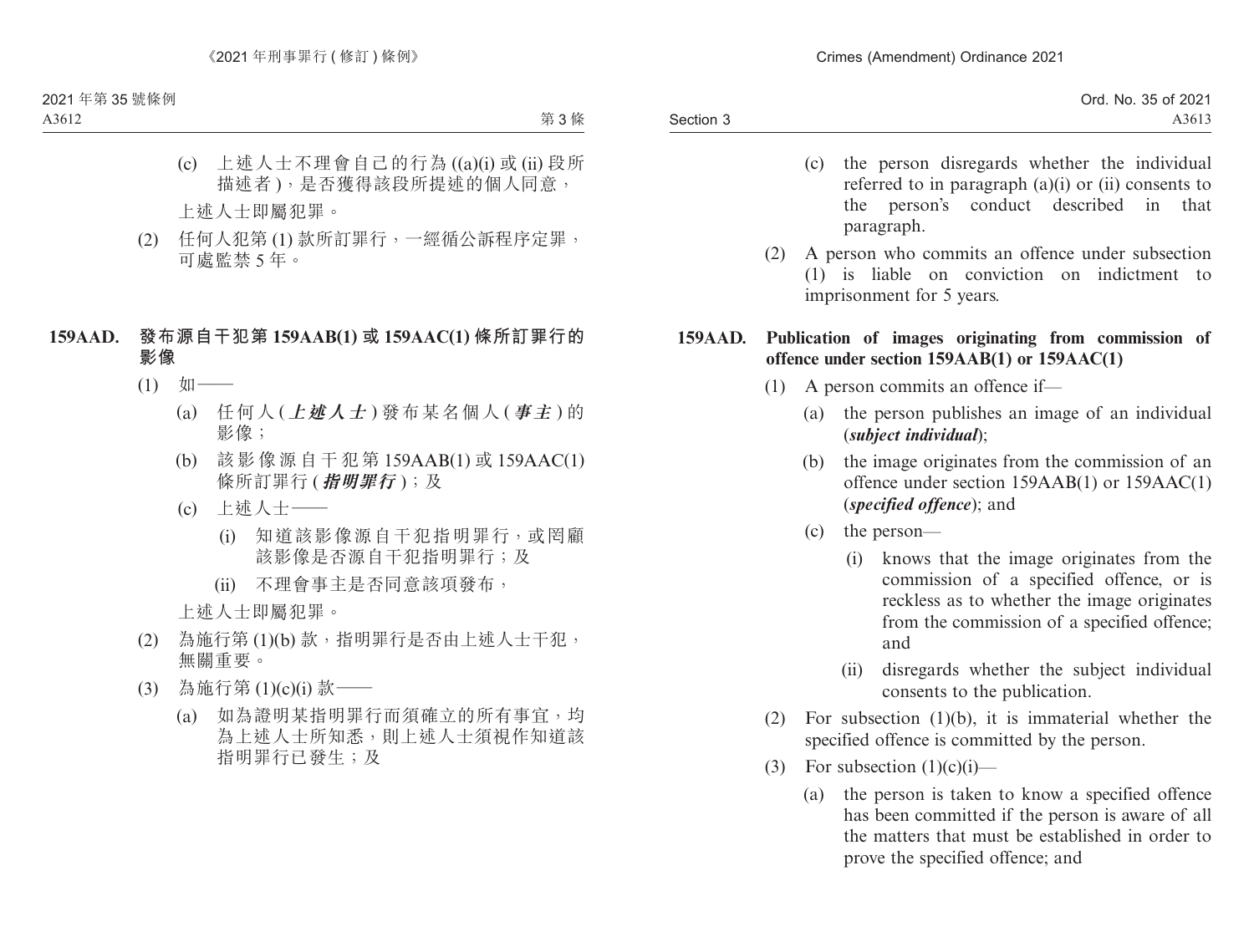- (c) the person disregards whether the individual referred to in paragraph (a)(i) or (ii) consents to the person's conduct described in that paragraph.
- (2) A person who commits an offence under subsection (1) is liable on conviction on indictment to imprisonment for 5 years.

## **159AAD. Publication of images originating from commission of offence under section 159AAB(1) or 159AAC(1)**

- (1) A person commits an offence if—
	- (a) the person publishes an image of an individual (*subject individual*);
	- (b) the image originates from the commission of an offence under section 159AAB(1) or 159AAC(1) (*specified offence*); and
	- (c) the person—
		- (i) knows that the image originates from the commission of a specified offence, or is reckless as to whether the image originates from the commission of a specified offence; and
		- (ii) disregards whether the subject individual consents to the publication.
- (2) For subsection (1)(b), it is immaterial whether the specified offence is committed by the person.
- (3) For subsection  $(1)(c)(i)$ 
	- (a) the person is taken to know a specified offence has been committed if the person is aware of all the matters that must be established in order to prove the specified offence; and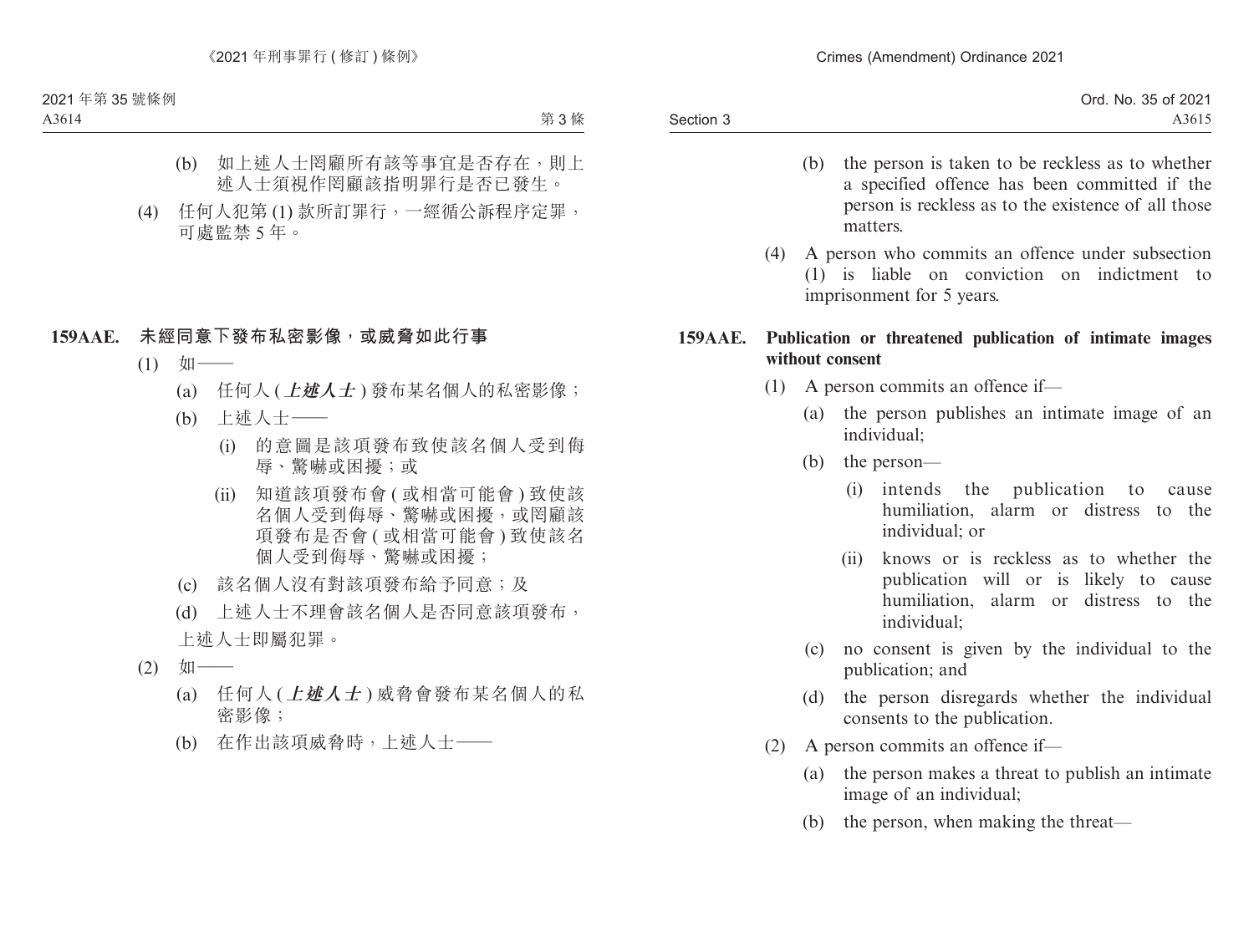|           | . 35 of 2021<br>No. J<br>Ord. N |
|-----------|---------------------------------|
| Section 3 | A3615                           |

- (b) the person is taken to be reckless as to whether a specified offence has been committed if the person is reckless as to the existence of all those matters.
- (4) A person who commits an offence under subsection (1) is liable on conviction on indictment to imprisonment for 5 years.

### **159AAE. Publication or threatened publication of intimate images without consent**

- (1) A person commits an offence if—
	- (a) the person publishes an intimate image of an individual;
	- (b) the person—
		- (i) intends the publication to cause humiliation, alarm or distress to the individual; or
		- (ii) knows or is reckless as to whether the publication will or is likely to cause humiliation, alarm or distress to the individual;
	- (c) no consent is given by the individual to the publication; and
	- (d) the person disregards whether the individual consents to the publication.
- (2) A person commits an offence if—
	- (a) the person makes a threat to publish an intimate image of an individual;
	- (b) the person, when making the threat—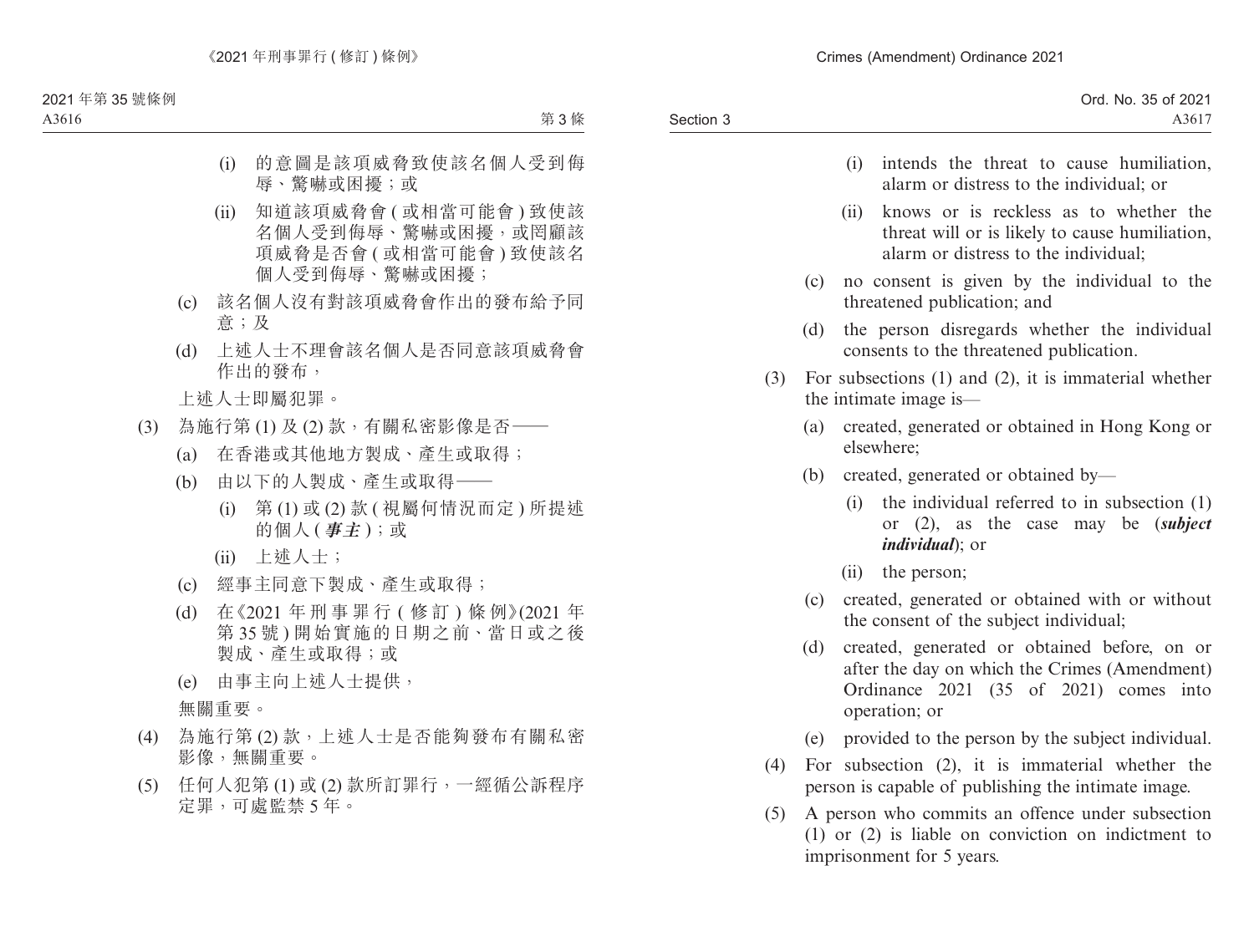- (i) intends the threat to cause humiliation, alarm or distress to the individual; or
- (ii) knows or is reckless as to whether the threat will or is likely to cause humiliation, alarm or distress to the individual;
- (c) no consent is given by the individual to the threatened publication; and
- (d) the person disregards whether the individual consents to the threatened publication.
- (3) For subsections (1) and (2), it is immaterial whether the intimate image is—
	- (a) created, generated or obtained in Hong Kong or elsewhere;
	- (b) created, generated or obtained by—
		- (i) the individual referred to in subsection (1) or (2), as the case may be (*subject individual*); or
		- (ii) the person;
	- (c) created, generated or obtained with or without the consent of the subject individual;
	- (d) created, generated or obtained before, on or after the day on which the Crimes (Amendment) Ordinance 2021 (35 of 2021) comes into operation; or
	- (e) provided to the person by the subject individual.
- (4) For subsection (2), it is immaterial whether the person is capable of publishing the intimate image.
- (5) A person who commits an offence under subsection (1) or (2) is liable on conviction on indictment to imprisonment for 5 years.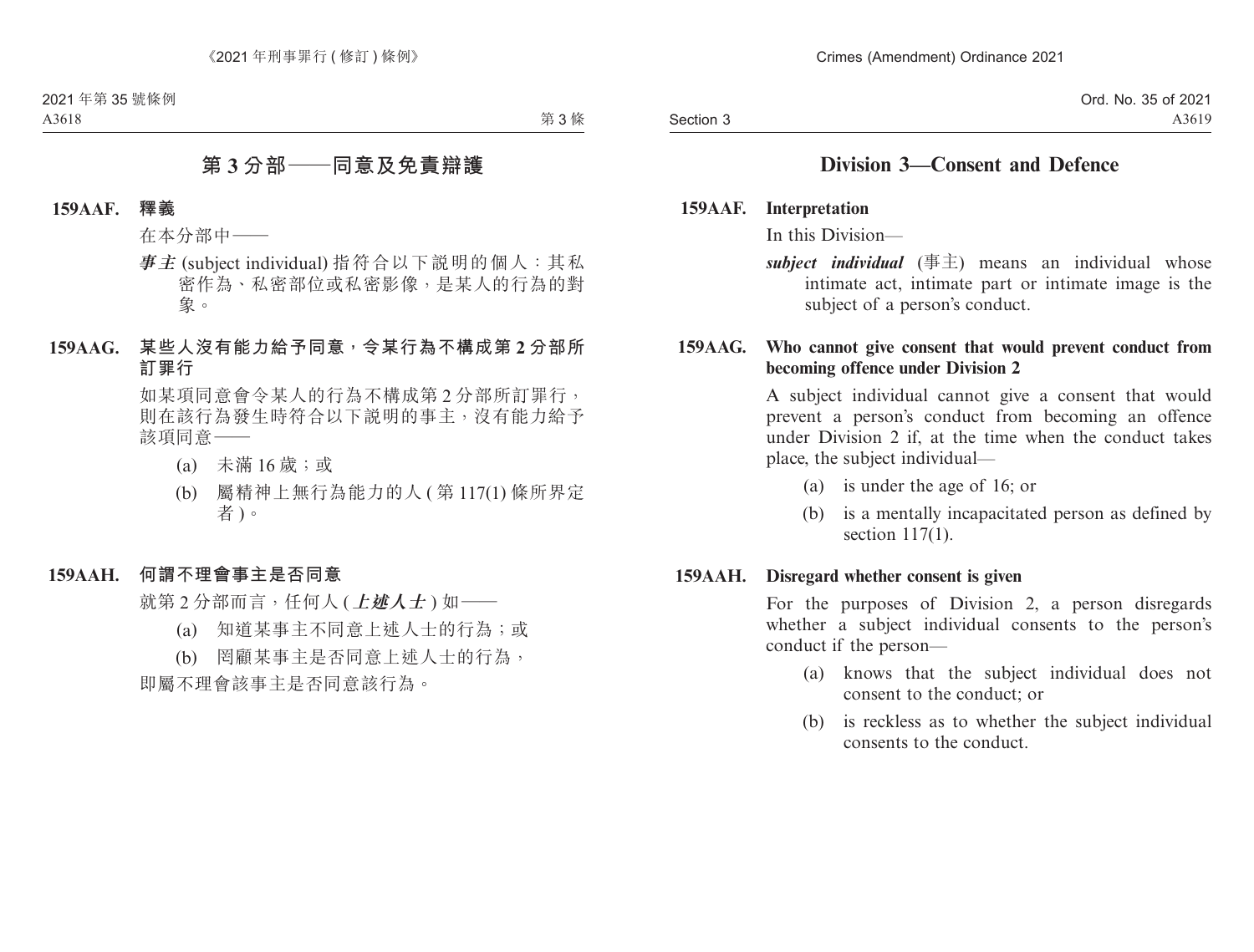## **Division 3—Consent and Defence**

**159AAF. Interpretation**

In this Division—

*subject individual* (事主) means an individual whose intimate act, intimate part or intimate image is the subject of a person's conduct.

### **159AAG. Who cannot give consent that would prevent conduct from becoming offence under Division 2**

A subject individual cannot give a consent that would prevent a person's conduct from becoming an offence under Division 2 if, at the time when the conduct takes place, the subject individual—

- (a) is under the age of 16; or
- (b) is a mentally incapacitated person as defined by section 117(1).

#### **159AAH. Disregard whether consent is given**

For the purposes of Division 2, a person disregards whether a subject individual consents to the person's conduct if the person—

- (a) knows that the subject individual does not consent to the conduct; or
- (b) is reckless as to whether the subject individual consents to the conduct.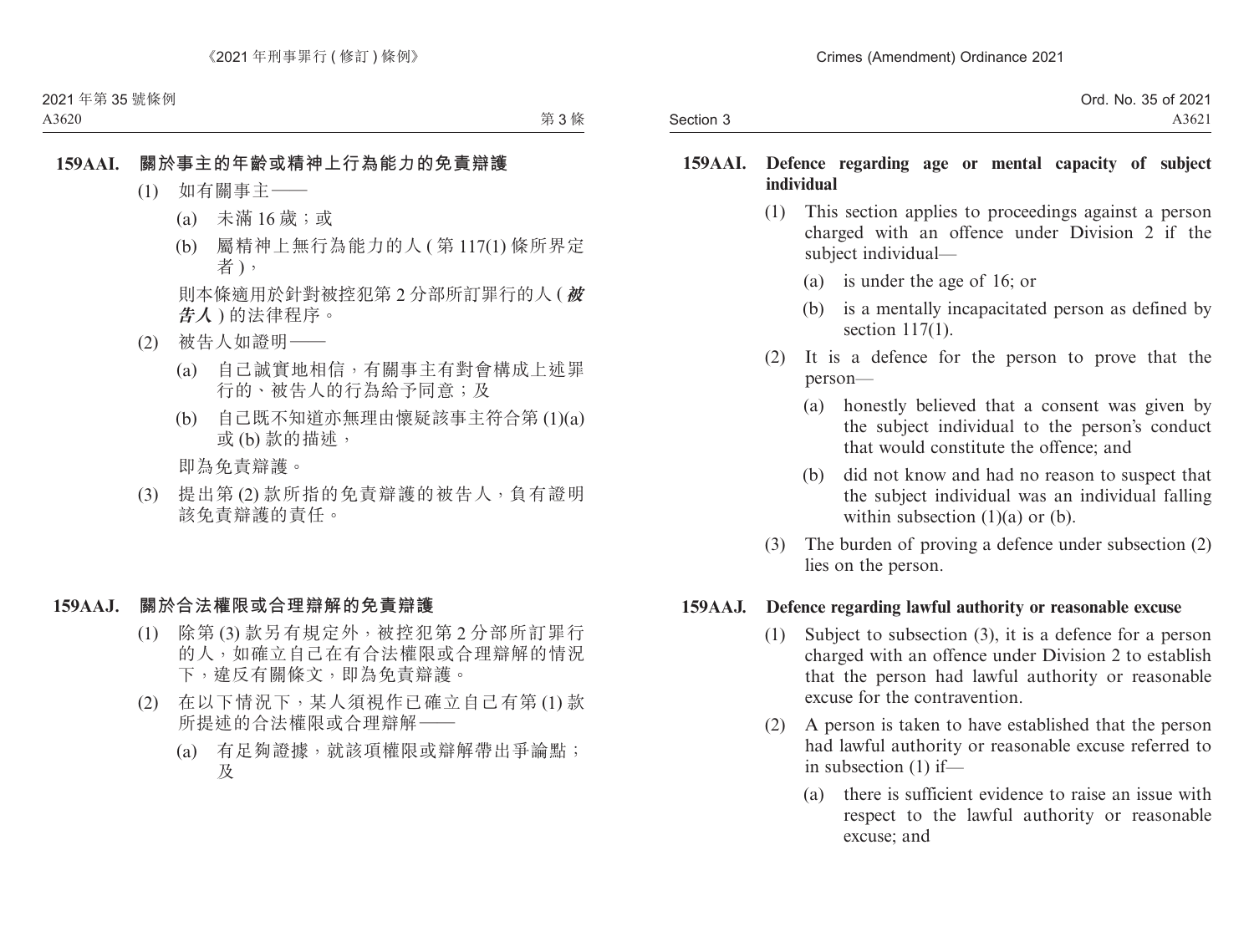|           | Ord. No. 35 of 2021 |
|-----------|---------------------|
| Section 3 | A3621               |

#### **159AAI. Defence regarding age or mental capacity of subject individual**

- (1) This section applies to proceedings against a person charged with an offence under Division 2 if the subject individual—
	- (a) is under the age of 16; or
	- (b) is a mentally incapacitated person as defined by section 117(1).
- (2) It is a defence for the person to prove that the person—
	- (a) honestly believed that a consent was given by the subject individual to the person's conduct that would constitute the offence; and
	- (b) did not know and had no reason to suspect that the subject individual was an individual falling within subsection  $(1)(a)$  or  $(b)$ .
- (3) The burden of proving a defence under subsection (2) lies on the person.

#### **159AAJ. Defence regarding lawful authority or reasonable excuse**

- (1) Subject to subsection (3), it is a defence for a person charged with an offence under Division 2 to establish that the person had lawful authority or reasonable excuse for the contravention.
- (2) A person is taken to have established that the person had lawful authority or reasonable excuse referred to in subsection (1) if—
	- (a) there is sufficient evidence to raise an issue with respect to the lawful authority or reasonable excuse; and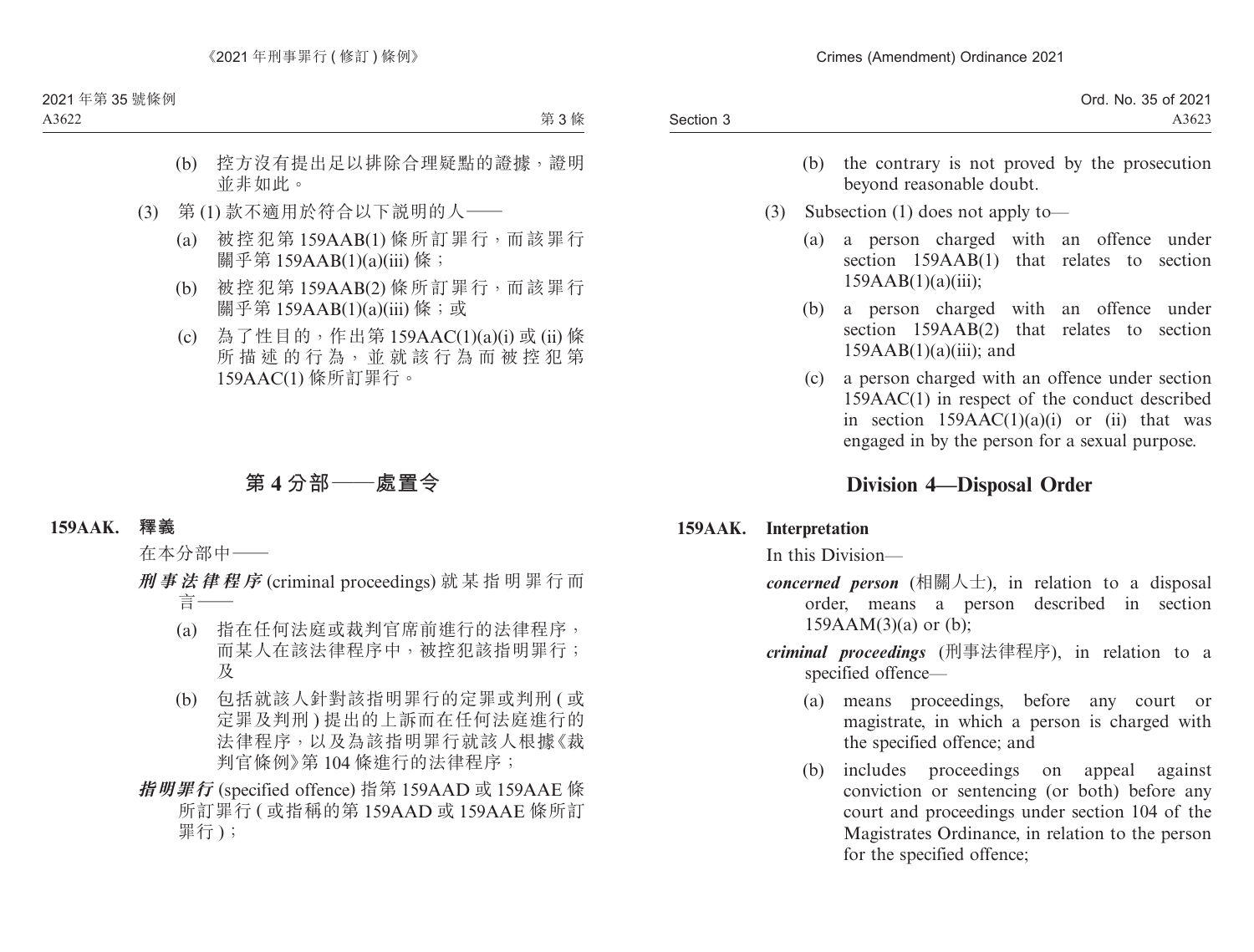| Ord. No. 35 of 2021 |
|---------------------|
| A3623               |
|                     |

- (b) the contrary is not proved by the prosecution beyond reasonable doubt.
- (3) Subsection (1) does not apply to—
	- (a) a person charged with an offence under section 159AAB(1) that relates to section 159AAB(1)(a)(iii);
	- (b) a person charged with an offence under section 159AAB(2) that relates to section  $159AAB(1)(a)(iii)$ ; and
	- (c) a person charged with an offence under section 159AAC(1) in respect of the conduct described in section  $159AAC(1)(a)(i)$  or (ii) that was engaged in by the person for a sexual purpose.

## **Division 4—Disposal Order**

## **159AAK. Interpretation**

In this Division—

- *concerned person* (相關人士), in relation to a disposal order, means a person described in section  $159AAM(3)(a)$  or (b);
- *criminal proceedings* (刑事法律程序), in relation to a specified offence—
	- (a) means proceedings, before any court or magistrate, in which a person is charged with the specified offence; and
	- (b) includes proceedings on appeal against conviction or sentencing (or both) before any court and proceedings under section 104 of the Magistrates Ordinance, in relation to the person for the specified offence;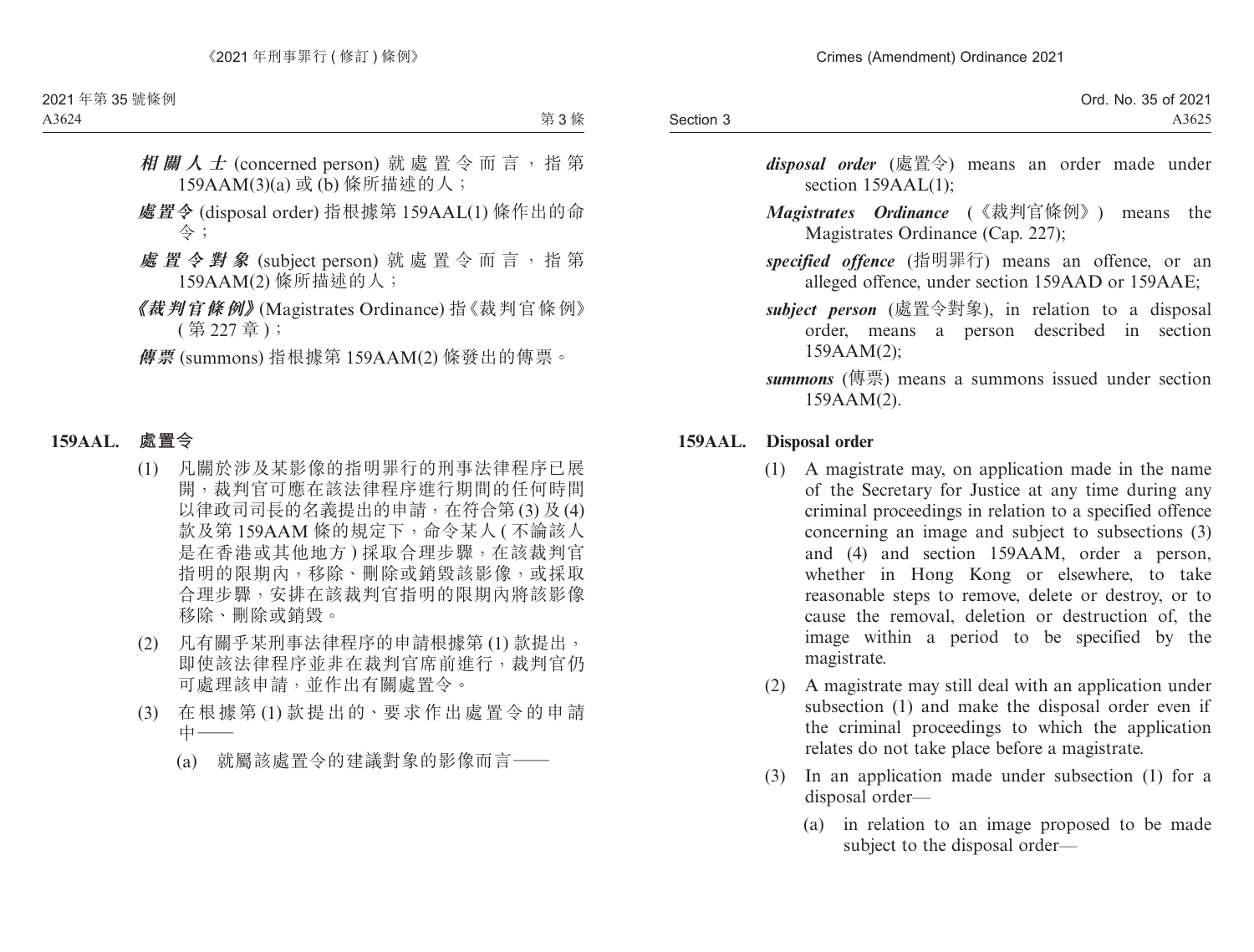Section 3

- *disposal order* (處置令) means an order made under section 159AAL(1);
- *Magistrates Ordinance* (《裁判官條例》) means the Magistrates Ordinance (Cap. 227);
- *specified offence* (指明罪行) means an offence, or an alleged offence, under section 159AAD or 159AAE;
- *subject person* (處置令對象), in relation to a disposal order, means a person described in section 159AAM(2);
- *summons* (傳票) means a summons issued under section 159AAM(2).

## **159AAL. Disposal order**

- (1) A magistrate may, on application made in the name of the Secretary for Justice at any time during any criminal proceedings in relation to a specified offence concerning an image and subject to subsections (3) and (4) and section 159AAM, order a person, whether in Hong Kong or elsewhere, to take reasonable steps to remove, delete or destroy, or to cause the removal, deletion or destruction of, the image within a period to be specified by the magistrate.
- (2) A magistrate may still deal with an application under subsection (1) and make the disposal order even if the criminal proceedings to which the application relates do not take place before a magistrate.
- (3) In an application made under subsection (1) for a disposal order—
	- (a) in relation to an image proposed to be made subject to the disposal order—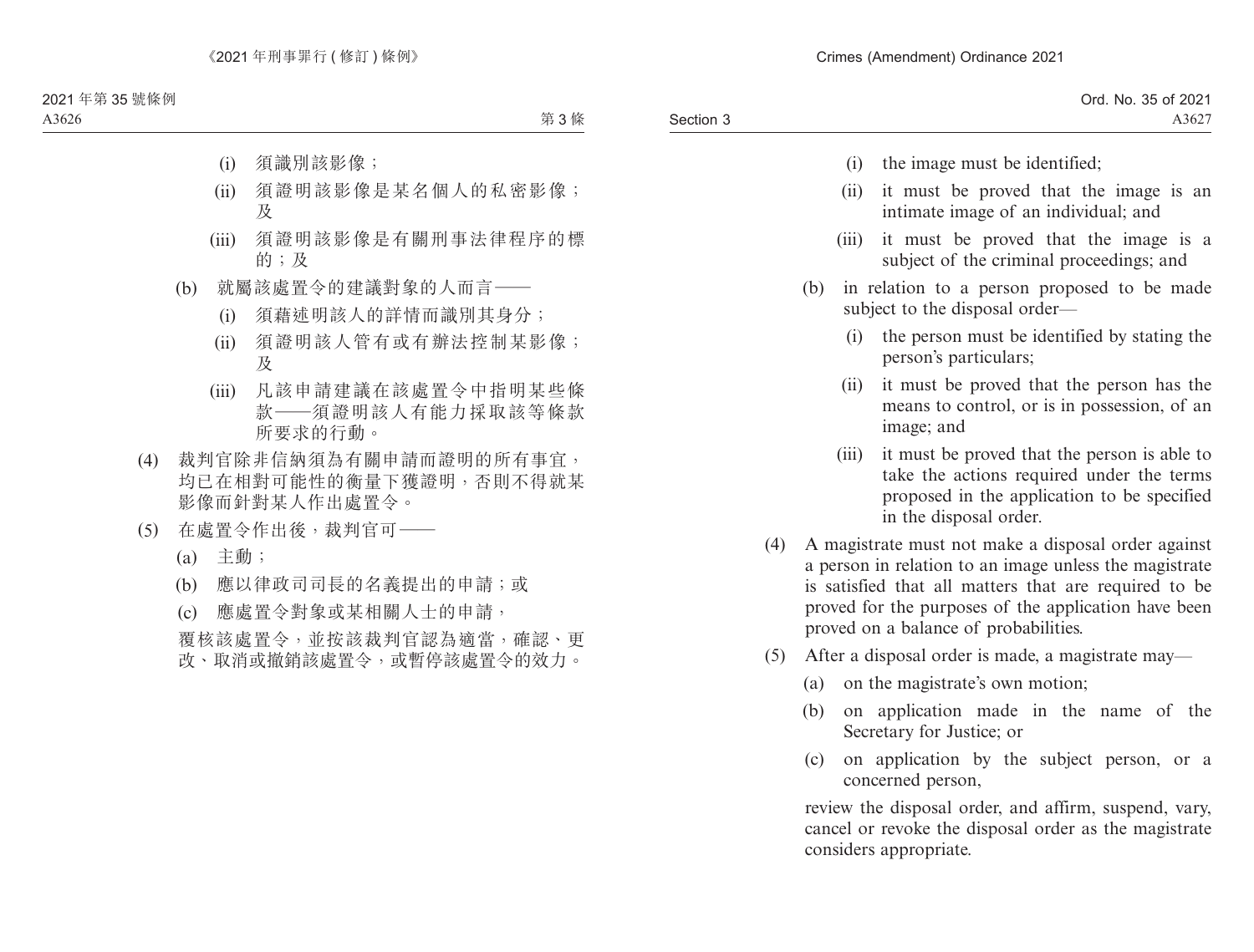|           | Ord. No. 35 of 2021 |
|-----------|---------------------|
| Section 3 | $A362^{\circ}$      |

- (i) the image must be identified;
- (ii) it must be proved that the image is an intimate image of an individual; and
- (iii) it must be proved that the image is a subject of the criminal proceedings; and
- (b) in relation to a person proposed to be made subject to the disposal order—
	- (i) the person must be identified by stating the person's particulars;
	- (ii) it must be proved that the person has the means to control, or is in possession, of an image; and
	- (iii) it must be proved that the person is able to take the actions required under the terms proposed in the application to be specified in the disposal order.
- (4) A magistrate must not make a disposal order against a person in relation to an image unless the magistrate is satisfied that all matters that are required to be proved for the purposes of the application have been proved on a balance of probabilities.
- (5) After a disposal order is made, a magistrate may—
	- (a) on the magistrate's own motion;
	- (b) on application made in the name of the Secretary for Justice; or
	- (c) on application by the subject person, or a concerned person,

review the disposal order, and affirm, suspend, vary, cancel or revoke the disposal order as the magistrate considers appropriate.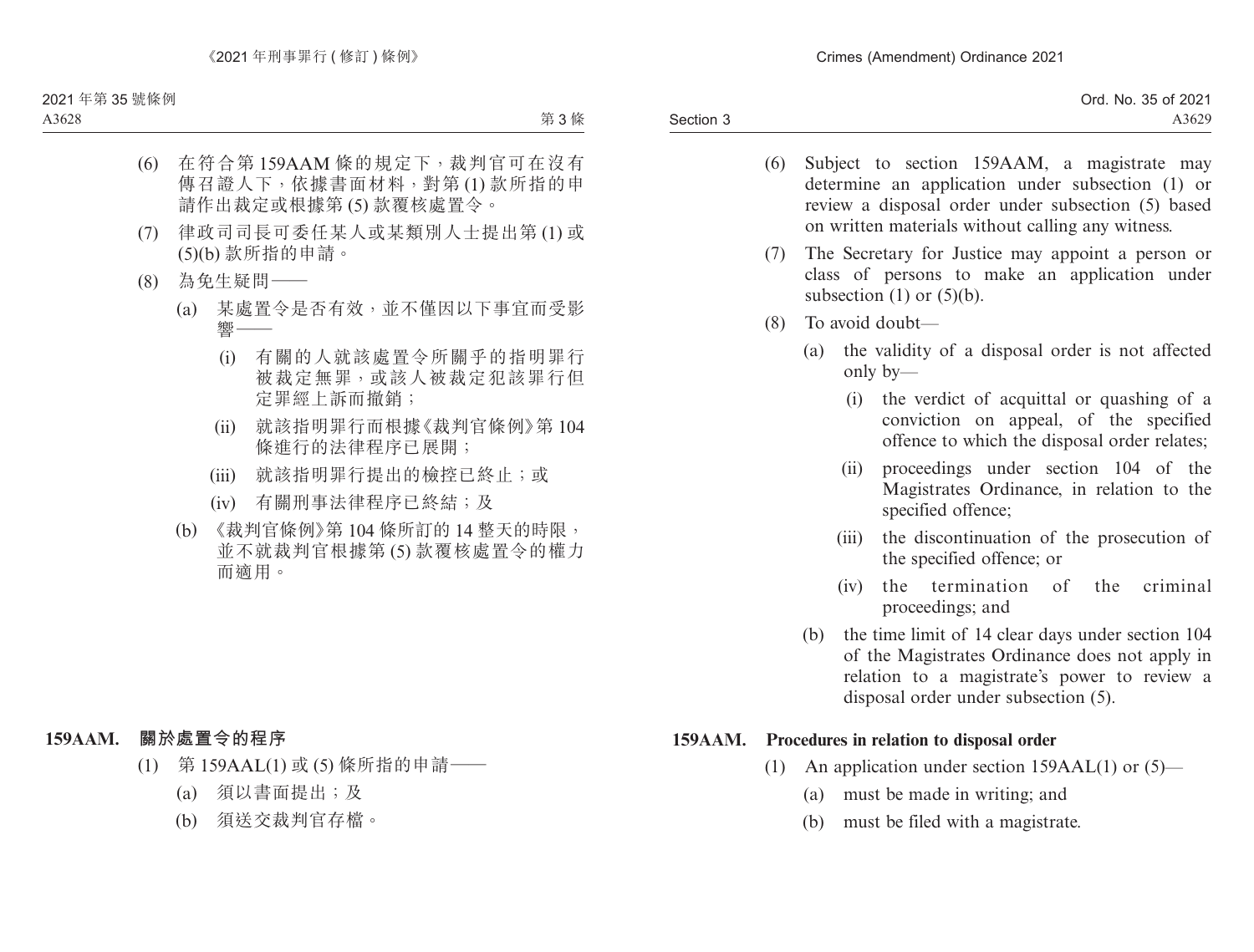|           | Ord. No. 35 of 2021 |
|-----------|---------------------|
| Section 3 | A3629               |

- (6) Subject to section 159AAM, a magistrate may determine an application under subsection (1) or review a disposal order under subsection (5) based on written materials without calling any witness.
- (7) The Secretary for Justice may appoint a person or class of persons to make an application under subsection  $(1)$  or  $(5)(b)$ .
- (8) To avoid doubt—
	- (a) the validity of a disposal order is not affected only by—
		- (i) the verdict of acquittal or quashing of a conviction on appeal, of the specified offence to which the disposal order relates;
		- (ii) proceedings under section 104 of the Magistrates Ordinance, in relation to the specified offence;
		- (iii) the discontinuation of the prosecution of the specified offence; or
		- (iv) the termination of the criminal proceedings; and
	- (b) the time limit of 14 clear days under section 104 of the Magistrates Ordinance does not apply in relation to a magistrate's power to review a disposal order under subsection (5).

#### **159AAM. Procedures in relation to disposal order**

- (1) An application under section 159AAL(1) or (5)—
	- (a) must be made in writing; and
	- (b) must be filed with a magistrate.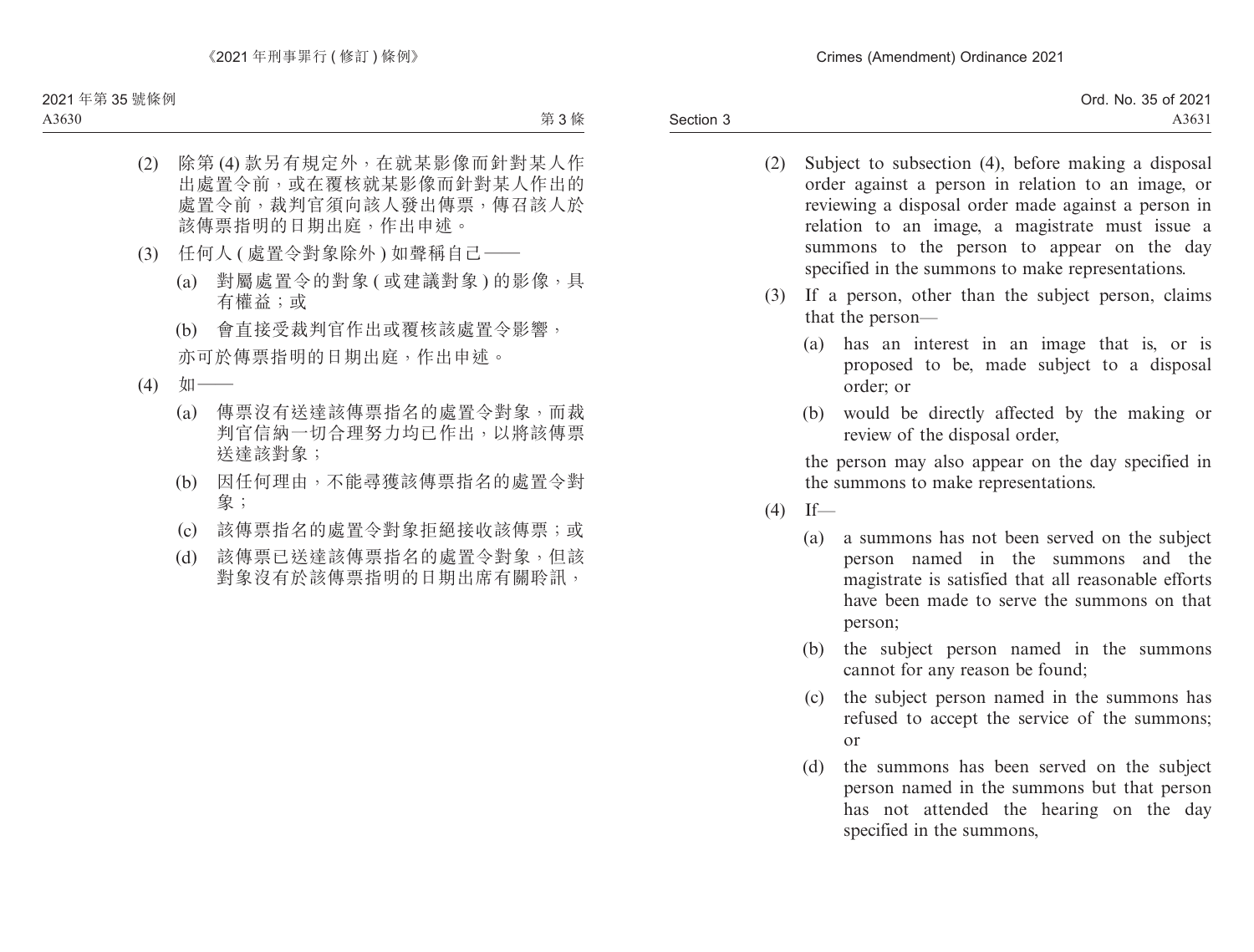- (2) Subject to subsection (4), before making a disposal order against a person in relation to an image, or reviewing a disposal order made against a person in relation to an image, a magistrate must issue a summons to the person to appear on the day specified in the summons to make representations.
- (3) If a person, other than the subject person, claims that the person—
	- (a) has an interest in an image that is, or is proposed to be, made subject to a disposal order; or
	- (b) would be directly affected by the making or review of the disposal order,

the person may also appear on the day specified in the summons to make representations.

- $(4)$  If—
	- (a) a summons has not been served on the subject person named in the summons and the magistrate is satisfied that all reasonable efforts have been made to serve the summons on that person;
	- (b) the subject person named in the summons cannot for any reason be found;
	- (c) the subject person named in the summons has refused to accept the service of the summons; or
	- (d) the summons has been served on the subject person named in the summons but that person has not attended the hearing on the day specified in the summons,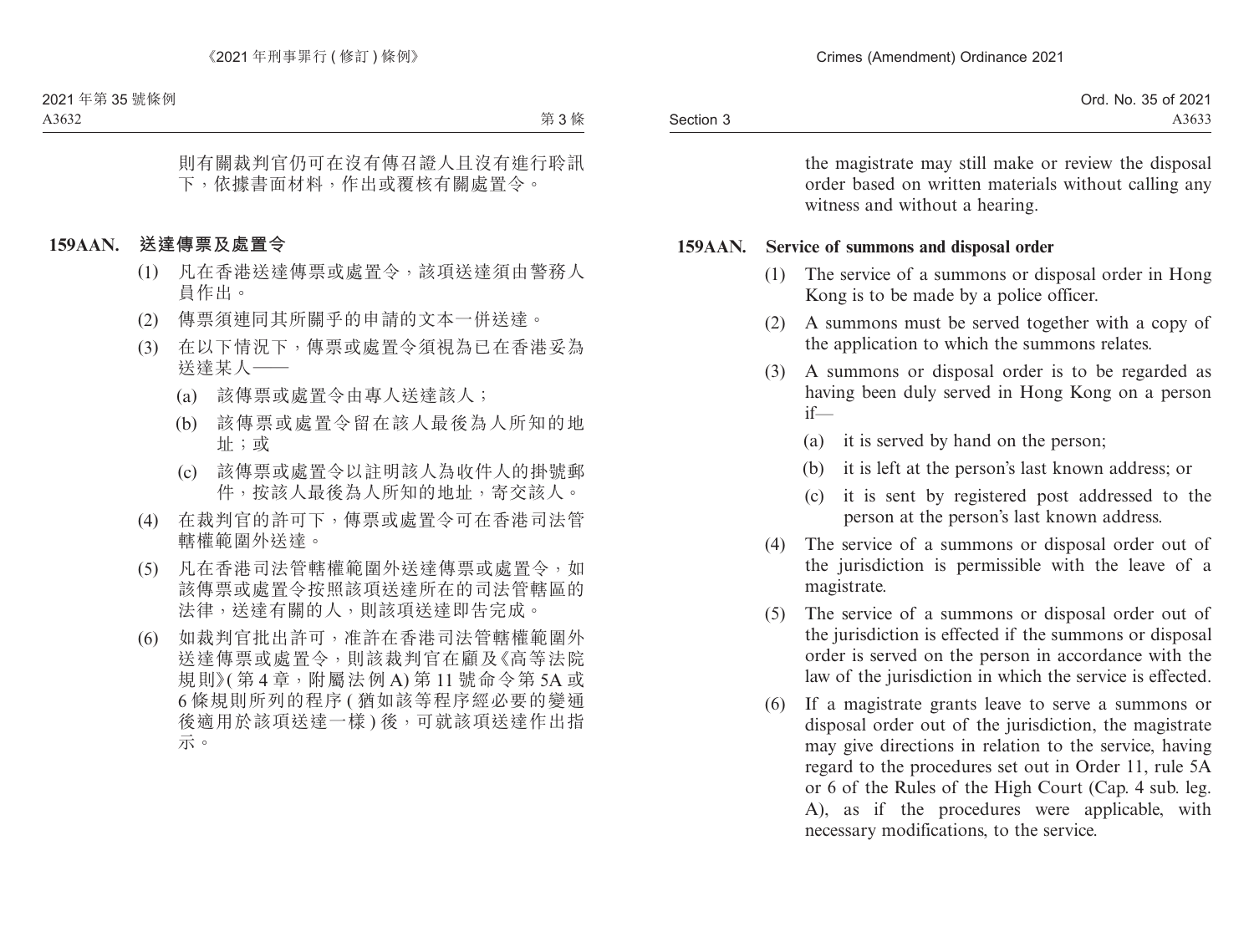|           | Ord. No. 35 of 2021 |
|-----------|---------------------|
| Section 3 | A3633               |

the magistrate may still make or review the disposal order based on written materials without calling any witness and without a hearing.

#### **159AAN. Service of summons and disposal order**

- (1) The service of a summons or disposal order in Hong Kong is to be made by a police officer.
- (2) A summons must be served together with a copy of the application to which the summons relates.
- (3) A summons or disposal order is to be regarded as having been duly served in Hong Kong on a person if—
	- (a) it is served by hand on the person;
	- (b) it is left at the person's last known address; or
	- (c) it is sent by registered post addressed to the person at the person's last known address.
- (4) The service of a summons or disposal order out of the jurisdiction is permissible with the leave of a magistrate.
- (5) The service of a summons or disposal order out of the jurisdiction is effected if the summons or disposal order is served on the person in accordance with the law of the jurisdiction in which the service is effected.
- (6) If a magistrate grants leave to serve a summons or disposal order out of the jurisdiction, the magistrate may give directions in relation to the service, having regard to the procedures set out in Order 11, rule 5A or 6 of the Rules of the High Court (Cap. 4 sub. leg. A), as if the procedures were applicable, with necessary modifications, to the service.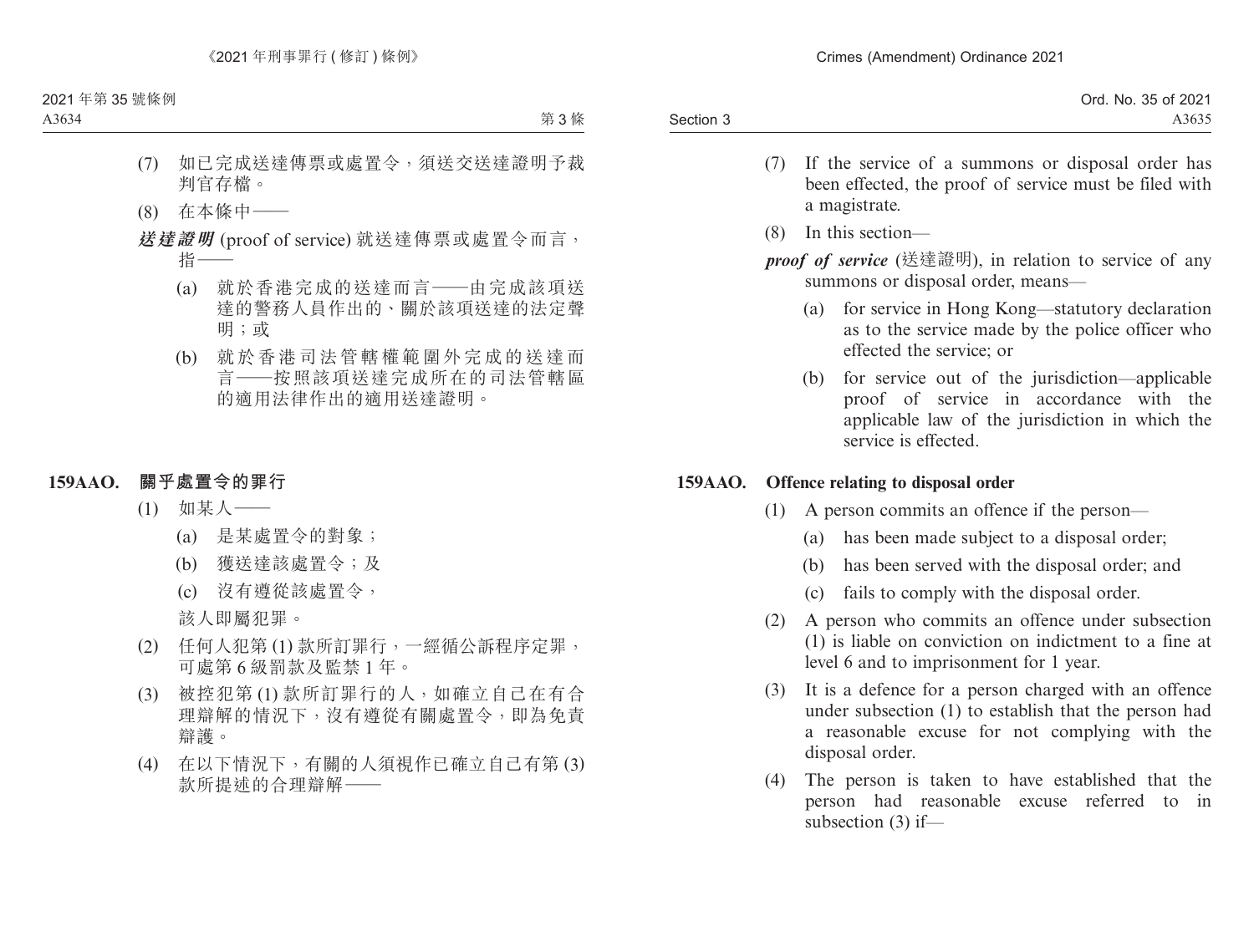|           | Ord. No. 35 of 2021 |
|-----------|---------------------|
| Section 3 | A3635               |

- (7) If the service of a summons or disposal order has been effected, the proof of service must be filed with a magistrate.
- (8) In this section—
- *proof of service* (送達證明), in relation to service of any summons or disposal order, means—
	- (a) for service in Hong Kong—statutory declaration as to the service made by the police officer who effected the service; or
	- (b) for service out of the jurisdiction—applicable proof of service in accordance with the applicable law of the jurisdiction in which the service is effected.

#### **159AAO. Offence relating to disposal order**

- (1) A person commits an offence if the person—
	- (a) has been made subject to a disposal order;
	- (b) has been served with the disposal order; and
	- (c) fails to comply with the disposal order.
- (2) A person who commits an offence under subsection (1) is liable on conviction on indictment to a fine at level 6 and to imprisonment for 1 year.
- (3) It is a defence for a person charged with an offence under subsection (1) to establish that the person had a reasonable excuse for not complying with the disposal order.
- (4) The person is taken to have established that the person had reasonable excuse referred to in subsection (3) if—